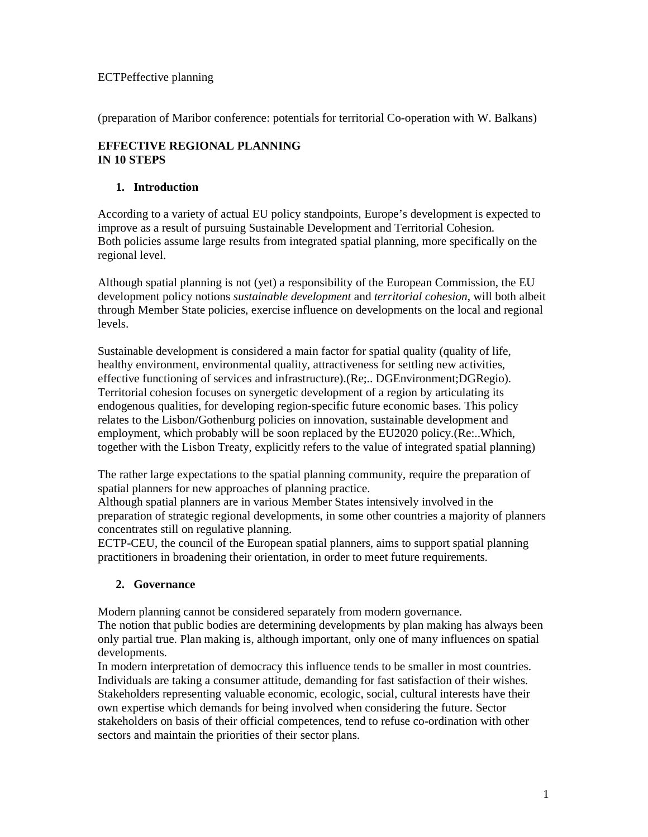# ECTPeffective planning

(preparation of Maribor conference: potentials for territorial Co-operation with W. Balkans)

# **EFFECTIVE REGIONAL PLANNING IN 10 STEPS**

# **1. Introduction**

According to a variety of actual EU policy standpoints, Europe's development is expected to improve as a result of pursuing Sustainable Development and Territorial Cohesion. Both policies assume large results from integrated spatial planning, more specifically on the regional level.

Although spatial planning is not (yet) a responsibility of the European Commission, the EU development policy notions *sustainable development* and *territorial cohesion*, will both albeit through Member State policies, exercise influence on developments on the local and regional levels.

Sustainable development is considered a main factor for spatial quality (quality of life, healthy environment, environmental quality, attractiveness for settling new activities, effective functioning of services and infrastructure).(Re;.. DGEnvironment;DGRegio). Territorial cohesion focuses on synergetic development of a region by articulating its endogenous qualities, for developing region-specific future economic bases. This policy relates to the Lisbon/Gothenburg policies on innovation, sustainable development and employment, which probably will be soon replaced by the EU2020 policy.(Re:..Which, together with the Lisbon Treaty, explicitly refers to the value of integrated spatial planning)

The rather large expectations to the spatial planning community, require the preparation of spatial planners for new approaches of planning practice.

Although spatial planners are in various Member States intensively involved in the preparation of strategic regional developments, in some other countries a majority of planners concentrates still on regulative planning.

ECTP-CEU, the council of the European spatial planners, aims to support spatial planning practitioners in broadening their orientation, in order to meet future requirements.

### **2. Governance**

Modern planning cannot be considered separately from modern governance. The notion that public bodies are determining developments by plan making has always been only partial true. Plan making is, although important, only one of many influences on spatial developments.

In modern interpretation of democracy this influence tends to be smaller in most countries. Individuals are taking a consumer attitude, demanding for fast satisfaction of their wishes. Stakeholders representing valuable economic, ecologic, social, cultural interests have their own expertise which demands for being involved when considering the future. Sector stakeholders on basis of their official competences, tend to refuse co-ordination with other sectors and maintain the priorities of their sector plans.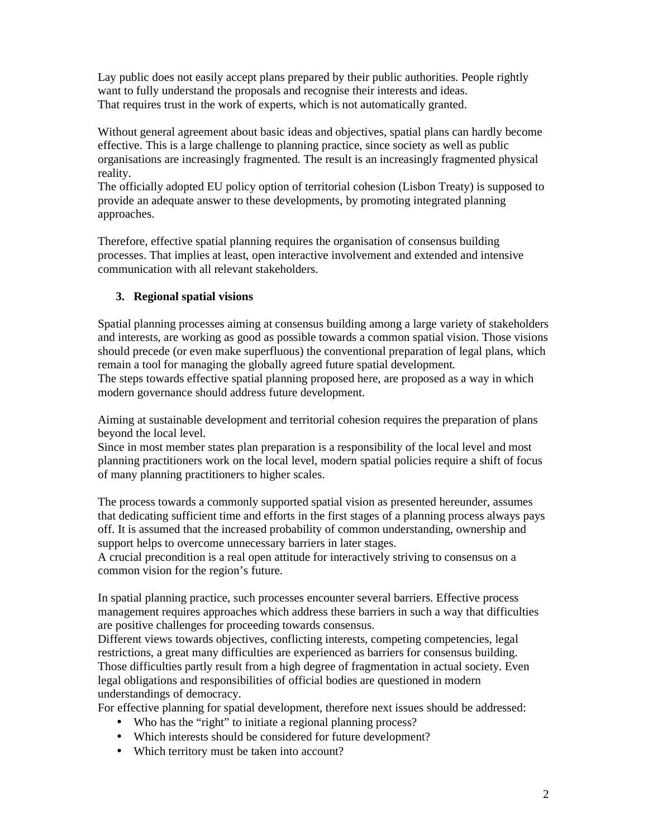Lay public does not easily accept plans prepared by their public authorities. People rightly want to fully understand the proposals and recognise their interests and ideas. That requires trust in the work of experts, which is not automatically granted.

Without general agreement about basic ideas and objectives, spatial plans can hardly become effective. This is a large challenge to planning practice, since society as well as public organisations are increasingly fragmented. The result is an increasingly fragmented physical reality.

The officially adopted EU policy option of territorial cohesion (Lisbon Treaty) is supposed to provide an adequate answer to these developments, by promoting integrated planning approaches.

Therefore, effective spatial planning requires the organisation of consensus building processes. That implies at least, open interactive involvement and extended and intensive communication with all relevant stakeholders.

# **3. Regional spatial visions**

Spatial planning processes aiming at consensus building among a large variety of stakeholders and interests, are working as good as possible towards a common spatial vision. Those visions should precede (or even make superfluous) the conventional preparation of legal plans, which remain a tool for managing the globally agreed future spatial development.

The steps towards effective spatial planning proposed here, are proposed as a way in which modern governance should address future development.

Aiming at sustainable development and territorial cohesion requires the preparation of plans beyond the local level.

Since in most member states plan preparation is a responsibility of the local level and most planning practitioners work on the local level, modern spatial policies require a shift of focus of many planning practitioners to higher scales.

The process towards a commonly supported spatial vision as presented hereunder, assumes that dedicating sufficient time and efforts in the first stages of a planning process always pays off. It is assumed that the increased probability of common understanding, ownership and support helps to overcome unnecessary barriers in later stages.

A crucial precondition is a real open attitude for interactively striving to consensus on a common vision for the region's future.

In spatial planning practice, such processes encounter several barriers. Effective process management requires approaches which address these barriers in such a way that difficulties are positive challenges for proceeding towards consensus.

Different views towards objectives, conflicting interests, competing competencies, legal restrictions, a great many difficulties are experienced as barriers for consensus building. Those difficulties partly result from a high degree of fragmentation in actual society. Even legal obligations and responsibilities of official bodies are questioned in modern understandings of democracy.

For effective planning for spatial development, therefore next issues should be addressed:

- Who has the "right" to initiate a regional planning process?
- Which interests should be considered for future development?
- Which territory must be taken into account?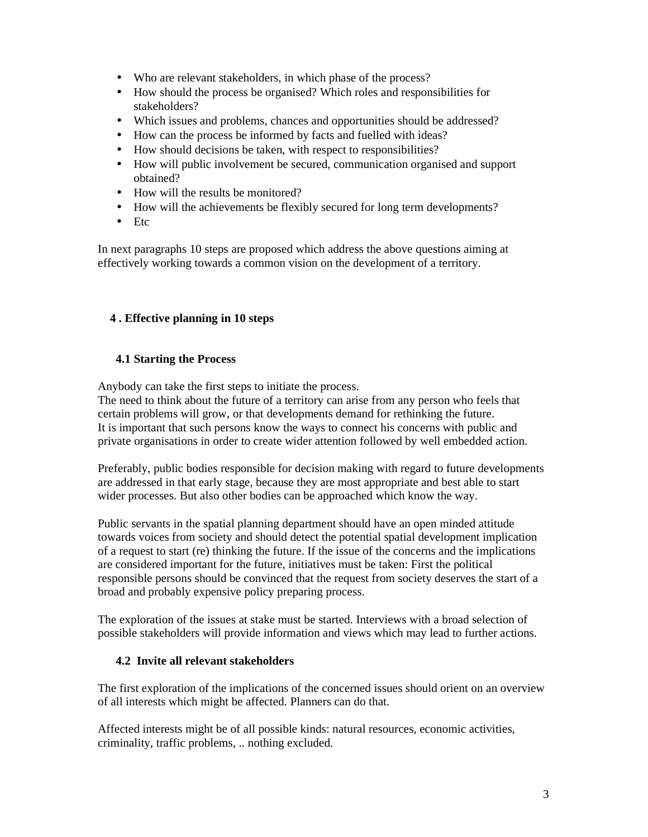- Who are relevant stakeholders, in which phase of the process?
- How should the process be organised? Which roles and responsibilities for stakeholders?
- Which issues and problems, chances and opportunities should be addressed?
- How can the process be informed by facts and fuelled with ideas?
- How should decisions be taken, with respect to responsibilities?
- How will public involvement be secured, communication organised and support obtained?
- How will the results be monitored?
- How will the achievements be flexibly secured for long term developments?
- Etc

In next paragraphs 10 steps are proposed which address the above questions aiming at effectively working towards a common vision on the development of a territory.

# **4 . Effective planning in 10 steps**

### **4.1 Starting the Process**

Anybody can take the first steps to initiate the process.

The need to think about the future of a territory can arise from any person who feels that certain problems will grow, or that developments demand for rethinking the future. It is important that such persons know the ways to connect his concerns with public and private organisations in order to create wider attention followed by well embedded action.

Preferably, public bodies responsible for decision making with regard to future developments are addressed in that early stage, because they are most appropriate and best able to start wider processes. But also other bodies can be approached which know the way.

Public servants in the spatial planning department should have an open minded attitude towards voices from society and should detect the potential spatial development implication of a request to start (re) thinking the future. If the issue of the concerns and the implications are considered important for the future, initiatives must be taken: First the political responsible persons should be convinced that the request from society deserves the start of a broad and probably expensive policy preparing process.

The exploration of the issues at stake must be started. Interviews with a broad selection of possible stakeholders will provide information and views which may lead to further actions.

### **4.2 Invite all relevant stakeholders**

The first exploration of the implications of the concerned issues should orient on an overview of all interests which might be affected. Planners can do that.

Affected interests might be of all possible kinds: natural resources, economic activities, criminality, traffic problems, .. nothing excluded.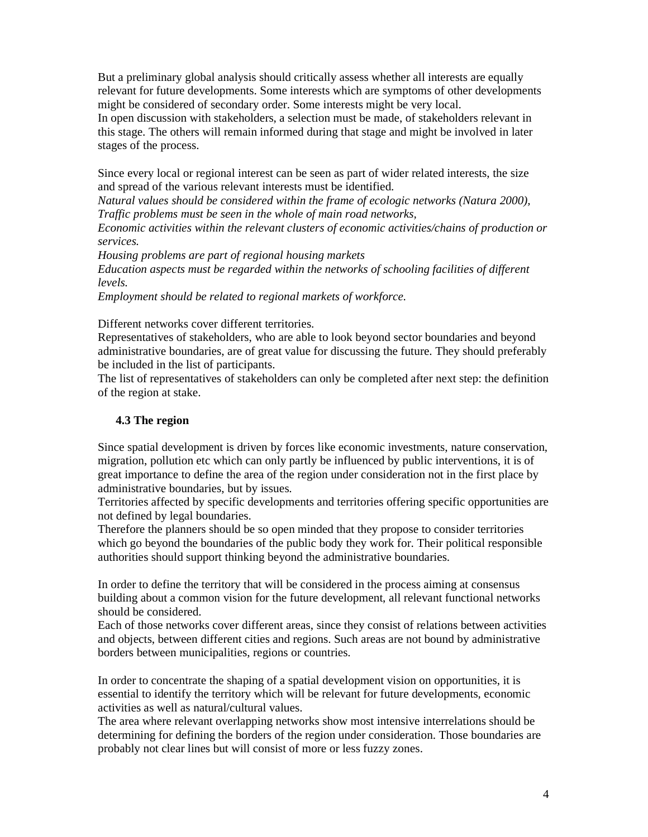But a preliminary global analysis should critically assess whether all interests are equally relevant for future developments. Some interests which are symptoms of other developments might be considered of secondary order. Some interests might be very local.

In open discussion with stakeholders, a selection must be made, of stakeholders relevant in this stage. The others will remain informed during that stage and might be involved in later stages of the process.

Since every local or regional interest can be seen as part of wider related interests, the size and spread of the various relevant interests must be identified.

*Natural values should be considered within the frame of ecologic networks (Natura 2000), Traffic problems must be seen in the whole of main road networks,* 

*Economic activities within the relevant clusters of economic activities/chains of production or services.* 

*Housing problems are part of regional housing markets* 

*Education aspects must be regarded within the networks of schooling facilities of different levels.* 

*Employment should be related to regional markets of workforce.* 

Different networks cover different territories.

Representatives of stakeholders, who are able to look beyond sector boundaries and beyond administrative boundaries, are of great value for discussing the future. They should preferably be included in the list of participants.

The list of representatives of stakeholders can only be completed after next step: the definition of the region at stake.

# **4.3 The region**

Since spatial development is driven by forces like economic investments, nature conservation, migration, pollution etc which can only partly be influenced by public interventions, it is of great importance to define the area of the region under consideration not in the first place by administrative boundaries, but by issues.

Territories affected by specific developments and territories offering specific opportunities are not defined by legal boundaries.

Therefore the planners should be so open minded that they propose to consider territories which go beyond the boundaries of the public body they work for. Their political responsible authorities should support thinking beyond the administrative boundaries.

In order to define the territory that will be considered in the process aiming at consensus building about a common vision for the future development, all relevant functional networks should be considered.

Each of those networks cover different areas, since they consist of relations between activities and objects, between different cities and regions. Such areas are not bound by administrative borders between municipalities, regions or countries.

In order to concentrate the shaping of a spatial development vision on opportunities, it is essential to identify the territory which will be relevant for future developments, economic activities as well as natural/cultural values.

The area where relevant overlapping networks show most intensive interrelations should be determining for defining the borders of the region under consideration. Those boundaries are probably not clear lines but will consist of more or less fuzzy zones.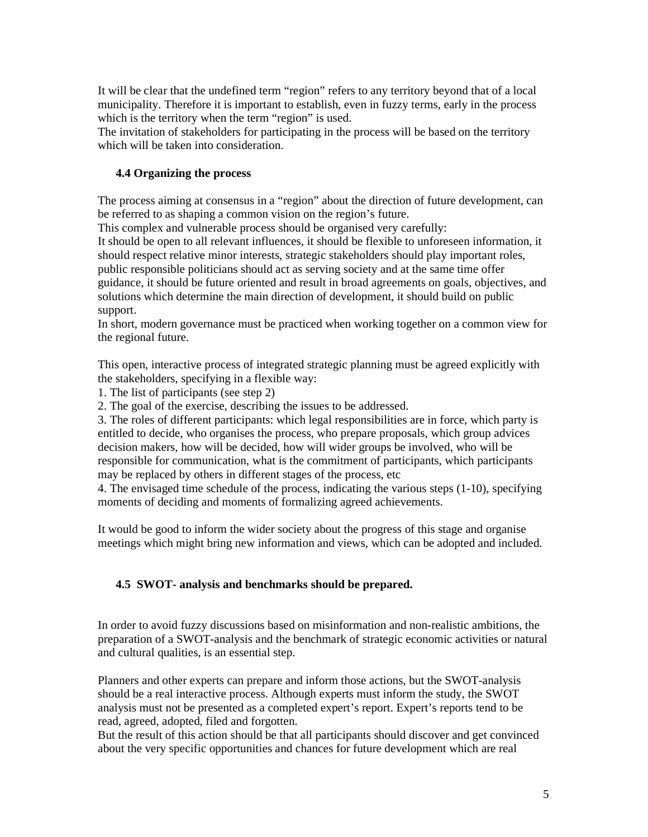It will be clear that the undefined term "region" refers to any territory beyond that of a local municipality. Therefore it is important to establish, even in fuzzy terms, early in the process which is the territory when the term "region" is used.

The invitation of stakeholders for participating in the process will be based on the territory which will be taken into consideration.

# **4.4 Organizing the process**

The process aiming at consensus in a "region" about the direction of future development, can be referred to as shaping a common vision on the region's future.

This complex and vulnerable process should be organised very carefully:

It should be open to all relevant influences, it should be flexible to unforeseen information, it should respect relative minor interests, strategic stakeholders should play important roles, public responsible politicians should act as serving society and at the same time offer guidance, it should be future oriented and result in broad agreements on goals, objectives, and solutions which determine the main direction of development, it should build on public support.

In short, modern governance must be practiced when working together on a common view for the regional future.

This open, interactive process of integrated strategic planning must be agreed explicitly with the stakeholders, specifying in a flexible way:

1. The list of participants (see step 2)

2. The goal of the exercise, describing the issues to be addressed.

3. The roles of different participants: which legal responsibilities are in force, which party is entitled to decide, who organises the process, who prepare proposals, which group advices decision makers, how will be decided, how will wider groups be involved, who will be responsible for communication, what is the commitment of participants, which participants may be replaced by others in different stages of the process, etc

4. The envisaged time schedule of the process, indicating the various steps (1-10), specifying moments of deciding and moments of formalizing agreed achievements.

It would be good to inform the wider society about the progress of this stage and organise meetings which might bring new information and views, which can be adopted and included.

### **4.5 SWOT- analysis and benchmarks should be prepared.**

In order to avoid fuzzy discussions based on misinformation and non-realistic ambitions, the preparation of a SWOT-analysis and the benchmark of strategic economic activities or natural and cultural qualities, is an essential step.

Planners and other experts can prepare and inform those actions, but the SWOT-analysis should be a real interactive process. Although experts must inform the study, the SWOT analysis must not be presented as a completed expert's report. Expert's reports tend to be read, agreed, adopted, filed and forgotten.

But the result of this action should be that all participants should discover and get convinced about the very specific opportunities and chances for future development which are real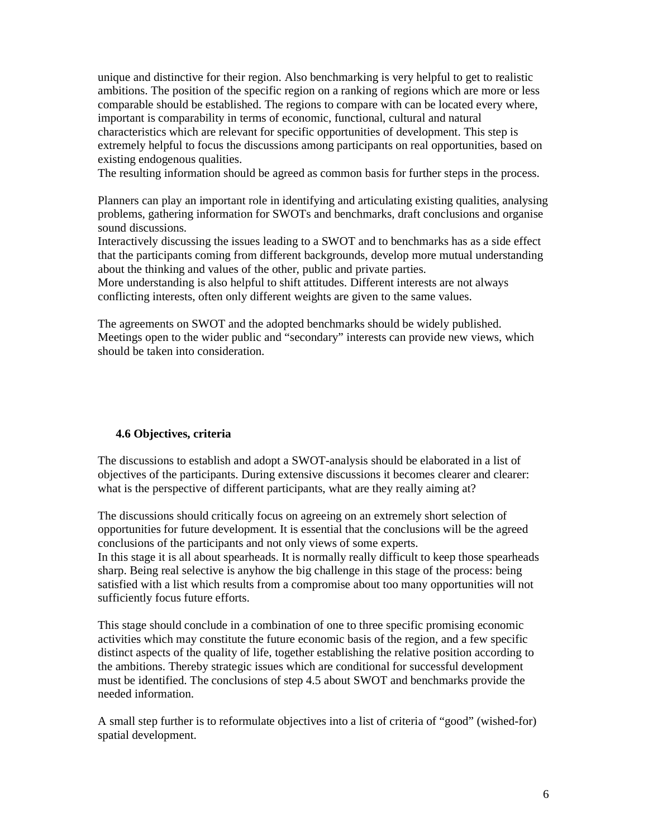unique and distinctive for their region. Also benchmarking is very helpful to get to realistic ambitions. The position of the specific region on a ranking of regions which are more or less comparable should be established. The regions to compare with can be located every where, important is comparability in terms of economic, functional, cultural and natural characteristics which are relevant for specific opportunities of development. This step is extremely helpful to focus the discussions among participants on real opportunities, based on existing endogenous qualities.

The resulting information should be agreed as common basis for further steps in the process.

Planners can play an important role in identifying and articulating existing qualities, analysing problems, gathering information for SWOTs and benchmarks, draft conclusions and organise sound discussions.

Interactively discussing the issues leading to a SWOT and to benchmarks has as a side effect that the participants coming from different backgrounds, develop more mutual understanding about the thinking and values of the other, public and private parties.

More understanding is also helpful to shift attitudes. Different interests are not always conflicting interests, often only different weights are given to the same values.

The agreements on SWOT and the adopted benchmarks should be widely published. Meetings open to the wider public and "secondary" interests can provide new views, which should be taken into consideration.

### **4.6 Objectives, criteria**

The discussions to establish and adopt a SWOT-analysis should be elaborated in a list of objectives of the participants. During extensive discussions it becomes clearer and clearer: what is the perspective of different participants, what are they really aiming at?

The discussions should critically focus on agreeing on an extremely short selection of opportunities for future development. It is essential that the conclusions will be the agreed conclusions of the participants and not only views of some experts.

In this stage it is all about spearheads. It is normally really difficult to keep those spearheads sharp. Being real selective is anyhow the big challenge in this stage of the process: being satisfied with a list which results from a compromise about too many opportunities will not sufficiently focus future efforts.

This stage should conclude in a combination of one to three specific promising economic activities which may constitute the future economic basis of the region, and a few specific distinct aspects of the quality of life, together establishing the relative position according to the ambitions. Thereby strategic issues which are conditional for successful development must be identified. The conclusions of step 4.5 about SWOT and benchmarks provide the needed information.

A small step further is to reformulate objectives into a list of criteria of "good" (wished-for) spatial development.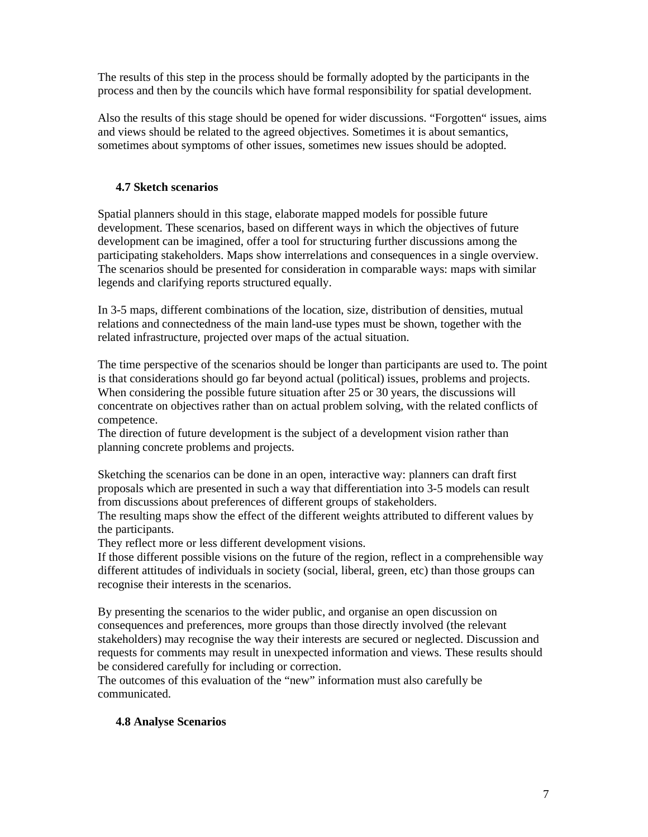The results of this step in the process should be formally adopted by the participants in the process and then by the councils which have formal responsibility for spatial development.

Also the results of this stage should be opened for wider discussions. "Forgotten" issues, aims and views should be related to the agreed objectives. Sometimes it is about semantics, sometimes about symptoms of other issues, sometimes new issues should be adopted.

# **4.7 Sketch scenarios**

Spatial planners should in this stage, elaborate mapped models for possible future development. These scenarios, based on different ways in which the objectives of future development can be imagined, offer a tool for structuring further discussions among the participating stakeholders. Maps show interrelations and consequences in a single overview. The scenarios should be presented for consideration in comparable ways: maps with similar legends and clarifying reports structured equally.

In 3-5 maps, different combinations of the location, size, distribution of densities, mutual relations and connectedness of the main land-use types must be shown, together with the related infrastructure, projected over maps of the actual situation.

The time perspective of the scenarios should be longer than participants are used to. The point is that considerations should go far beyond actual (political) issues, problems and projects. When considering the possible future situation after 25 or 30 years, the discussions will concentrate on objectives rather than on actual problem solving, with the related conflicts of competence.

The direction of future development is the subject of a development vision rather than planning concrete problems and projects.

Sketching the scenarios can be done in an open, interactive way: planners can draft first proposals which are presented in such a way that differentiation into 3-5 models can result from discussions about preferences of different groups of stakeholders.

The resulting maps show the effect of the different weights attributed to different values by the participants.

They reflect more or less different development visions.

If those different possible visions on the future of the region, reflect in a comprehensible way different attitudes of individuals in society (social, liberal, green, etc) than those groups can recognise their interests in the scenarios.

By presenting the scenarios to the wider public, and organise an open discussion on consequences and preferences, more groups than those directly involved (the relevant stakeholders) may recognise the way their interests are secured or neglected. Discussion and requests for comments may result in unexpected information and views. These results should be considered carefully for including or correction.

The outcomes of this evaluation of the "new" information must also carefully be communicated.

### **4.8 Analyse Scenarios**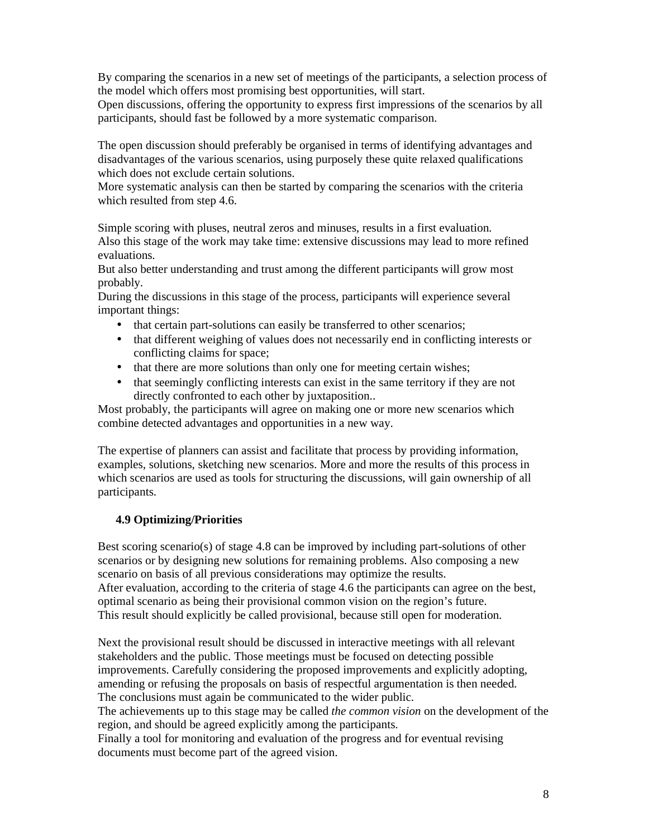By comparing the scenarios in a new set of meetings of the participants, a selection process of the model which offers most promising best opportunities, will start.

Open discussions, offering the opportunity to express first impressions of the scenarios by all participants, should fast be followed by a more systematic comparison.

The open discussion should preferably be organised in terms of identifying advantages and disadvantages of the various scenarios, using purposely these quite relaxed qualifications which does not exclude certain solutions.

More systematic analysis can then be started by comparing the scenarios with the criteria which resulted from step 4.6.

Simple scoring with pluses, neutral zeros and minuses, results in a first evaluation.

Also this stage of the work may take time: extensive discussions may lead to more refined evaluations.

But also better understanding and trust among the different participants will grow most probably.

During the discussions in this stage of the process, participants will experience several important things:

- that certain part-solutions can easily be transferred to other scenarios;
- that different weighing of values does not necessarily end in conflicting interests or conflicting claims for space;
- that there are more solutions than only one for meeting certain wishes;
- that seemingly conflicting interests can exist in the same territory if they are not directly confronted to each other by juxtaposition..

Most probably, the participants will agree on making one or more new scenarios which combine detected advantages and opportunities in a new way.

The expertise of planners can assist and facilitate that process by providing information, examples, solutions, sketching new scenarios. More and more the results of this process in which scenarios are used as tools for structuring the discussions, will gain ownership of all participants.

### **4.9 Optimizing/Priorities**

Best scoring scenario(s) of stage 4.8 can be improved by including part-solutions of other scenarios or by designing new solutions for remaining problems. Also composing a new scenario on basis of all previous considerations may optimize the results. After evaluation, according to the criteria of stage 4.6 the participants can agree on the best, optimal scenario as being their provisional common vision on the region's future. This result should explicitly be called provisional, because still open for moderation.

Next the provisional result should be discussed in interactive meetings with all relevant stakeholders and the public. Those meetings must be focused on detecting possible improvements. Carefully considering the proposed improvements and explicitly adopting, amending or refusing the proposals on basis of respectful argumentation is then needed. The conclusions must again be communicated to the wider public.

The achievements up to this stage may be called *the common vision* on the development of the region, and should be agreed explicitly among the participants.

Finally a tool for monitoring and evaluation of the progress and for eventual revising documents must become part of the agreed vision.